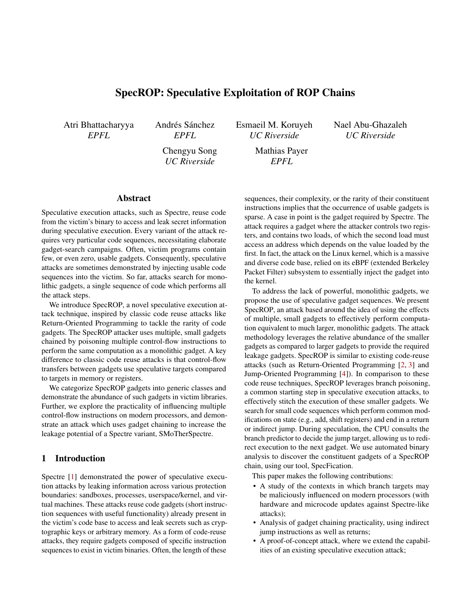# SpecROP: Speculative Exploitation of ROP Chains

Atri Bhattacharyya *EPFL*

Andrés Sánchez *EPFL*

> Chengyu Song *UC Riverside*

Esmaeil M. Koruyeh *UC Riverside*

> Mathias Payer *EPFL*

Nael Abu-Ghazaleh *UC Riverside*

Abstract

Speculative execution attacks, such as Spectre, reuse code from the victim's binary to access and leak secret information during speculative execution. Every variant of the attack requires very particular code sequences, necessitating elaborate gadget-search campaigns. Often, victim programs contain few, or even zero, usable gadgets. Consequently, speculative attacks are sometimes demonstrated by injecting usable code sequences into the victim. So far, attacks search for monolithic gadgets, a single sequence of code which performs all the attack steps.

We introduce SpecROP, a novel speculative execution attack technique, inspired by classic code reuse attacks like Return-Oriented Programming to tackle the rarity of code gadgets. The SpecROP attacker uses multiple, small gadgets chained by poisoning multiple control-flow instructions to perform the same computation as a monolithic gadget. A key difference to classic code reuse attacks is that control-flow transfers between gadgets use speculative targets compared to targets in memory or registers.

We categorize SpecROP gadgets into generic classes and demonstrate the abundance of such gadgets in victim libraries. Further, we explore the practicality of influencing multiple control-flow instructions on modern processors, and demonstrate an attack which uses gadget chaining to increase the leakage potential of a Spectre variant, SMoTherSpectre.

# 1 Introduction

Spectre [\[1\]](#page-12-0) demonstrated the power of speculative execution attacks by leaking information across various protection boundaries: sandboxes, processes, userspace/kernel, and virtual machines. These attacks reuse code gadgets (short instruction sequences with useful functionality) already present in the victim's code base to access and leak secrets such as cryptographic keys or arbitrary memory. As a form of code-reuse attacks, they require gadgets composed of specific instruction sequences to exist in victim binaries. Often, the length of these

sequences, their complexity, or the rarity of their constituent instructions implies that the occurrence of usable gadgets is sparse. A case in point is the gadget required by Spectre. The attack requires a gadget where the attacker controls two registers, and contains two loads, of which the second load must access an address which depends on the value loaded by the first. In fact, the attack on the Linux kernel, which is a massive and diverse code base, relied on its eBPF (extended Berkeley Packet Filter) subsystem to essentially inject the gadget into the kernel.

To address the lack of powerful, monolithic gadgets, we propose the use of speculative gadget sequences. We present SpecROP, an attack based around the idea of using the effects of multiple, small gadgets to effectively perform computation equivalent to much larger, monolithic gadgets. The attack methodology leverages the relative abundance of the smaller gadgets as compared to larger gadgets to provide the required leakage gadgets. SpecROP is similar to existing code-reuse attacks (such as Return-Oriented Programming [\[2,](#page-12-1) [3\]](#page-12-2) and Jump-Oriented Programming [\[4\]](#page-12-3)). In comparison to these code reuse techniques, SpecROP leverages branch poisoning, a common starting step in speculative execution attacks, to effectively stitch the execution of these smaller gadgets. We search for small code sequences which perform common modifications on state (e.g., add, shift registers) and end in a return or indirect jump. During speculation, the CPU consults the branch predictor to decide the jump target, allowing us to redirect execution to the next gadget. We use automated binary analysis to discover the constituent gadgets of a SpecROP chain, using our tool, SpecFication.

This paper makes the following contributions:

- A study of the contexts in which branch targets may be maliciously influenced on modern processors (with hardware and microcode updates against Spectre-like attacks);
- Analysis of gadget chaining practicality, using indirect jump instructions as well as returns;
- A proof-of-concept attack, where we extend the capabilities of an existing speculative execution attack;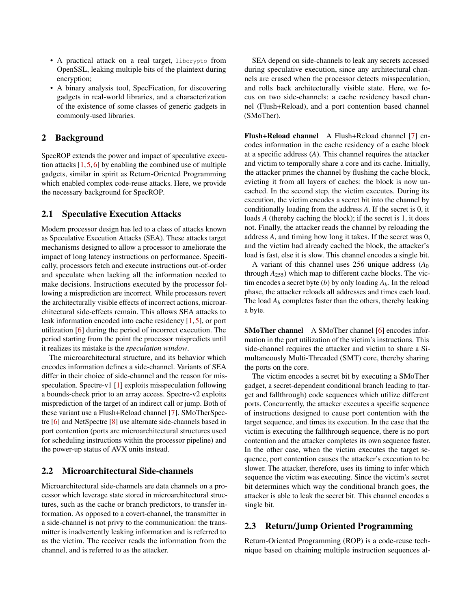- A practical attack on a real target, libcrypto from OpenSSL, leaking multiple bits of the plaintext during encryption;
- A binary analysis tool, SpecFication, for discovering gadgets in real-world libraries, and a characterization of the existence of some classes of generic gadgets in commonly-used libraries.

#### 2 Background

SpecROP extends the power and impact of speculative execution attacks  $[1,5,6]$  $[1,5,6]$  $[1,5,6]$  by enabling the combined use of multiple gadgets, similar in spirit as Return-Oriented Programming which enabled complex code-reuse attacks. Here, we provide the necessary background for SpecROP.

#### 2.1 Speculative Execution Attacks

Modern processor design has led to a class of attacks known as Speculative Execution Attacks (SEA). These attacks target mechanisms designed to allow a processor to ameliorate the impact of long latency instructions on performance. Specifically, processors fetch and execute instructions out-of-order and speculate when lacking all the information needed to make decisions. Instructions executed by the processor following a misprediction are incorrect. While processors revert the architecturally visible effects of incorrect actions, microarchitectural side-effects remain. This allows SEA attacks to leak information encoded into cache residency [\[1,](#page-12-0) [5\]](#page-12-4), or port utilization [\[6\]](#page-12-5) during the period of incorrect execution. The period starting from the point the processor mispredicts until it realizes its mistake is the *speculation window*.

The microarchitectural structure, and its behavior which encodes information defines a side-channel. Variants of SEA differ in their choice of side-channel and the reason for mis-speculation. Spectre-v1 [\[1\]](#page-12-0) exploits misspeculation following a bounds-check prior to an array access. Spectre-v2 exploits misprediction of the target of an indirect call or jump. Both of these variant use a Flush+Reload channel [\[7\]](#page-12-6). SMoTherSpectre [\[6\]](#page-12-5) and NetSpectre [\[8\]](#page-12-7) use alternate side-channels based in port contention (ports are microarchitectural structures used for scheduling instructions within the processor pipeline) and the power-up status of AVX units instead.

# <span id="page-1-0"></span>2.2 Microarchitectural Side-channels

Microarchitectural side-channels are data channels on a processor which leverage state stored in microarchitectural structures, such as the cache or branch predictors, to transfer information. As opposed to a covert-channel, the transmitter in a side-channel is not privy to the communication: the transmitter is inadvertently leaking information and is referred to as the victim. The receiver reads the information from the channel, and is referred to as the attacker.

SEA depend on side-channels to leak any secrets accessed during speculative execution, since any architectural channels are erased when the processor detects misspeculation, and rolls back architecturally visible state. Here, we focus on two side-channels: a cache residency based channel (Flush+Reload), and a port contention based channel (SMoTher).

Flush+Reload channel A Flush+Reload channel [\[7\]](#page-12-6) encodes information in the cache residency of a cache block at a specific address (*A*). This channel requires the attacker and victim to temporally share a core and its cache. Initially, the attacker primes the channel by flushing the cache block, evicting it from all layers of caches: the block is now uncached. In the second step, the victim executes. During its execution, the victim encodes a secret bit into the channel by conditionally loading from the address *A*. If the secret is 0, it loads *A* (thereby caching the block); if the secret is 1, it does not. Finally, the attacker reads the channel by reloading the address *A*, and timing how long it takes. If the secret was 0, and the victim had already cached the block, the attacker's load is fast, else it is slow. This channel encodes a single bit.

A variant of this channel uses 256 unique address (*A*<sup>0</sup> through *A*255) which map to different cache blocks. The victim encodes a secret byte (*b*) by only loading  $A_b$ . In the reload phase, the attacker reloads all addresses and times each load. The load  $A_b$  completes faster than the others, thereby leaking a byte.

SMoTher channel A SMoTher channel [\[6\]](#page-12-5) encodes information in the port utilization of the victim's instructions. This side-channel requires the attacker and victim to share a Simultaneously Multi-Threaded (SMT) core, thereby sharing the ports on the core.

The victim encodes a secret bit by executing a SMoTher gadget, a secret-dependent conditional branch leading to (target and fallthrough) code sequences which utilize different ports. Concurrently, the attacker executes a specific sequence of instructions designed to cause port contention with the target sequence, and times its execution. In the case that the victim is executing the fallthrough sequence, there is no port contention and the attacker completes its own sequence faster. In the other case, when the victim executes the target sequence, port contention causes the attacker's execution to be slower. The attacker, therefore, uses its timing to infer which sequence the victim was executing. Since the victim's secret bit determines which way the conditional branch goes, the attacker is able to leak the secret bit. This channel encodes a single bit.

# 2.3 Return/Jump Oriented Programming

Return-Oriented Programming (ROP) is a code-reuse technique based on chaining multiple instruction sequences al-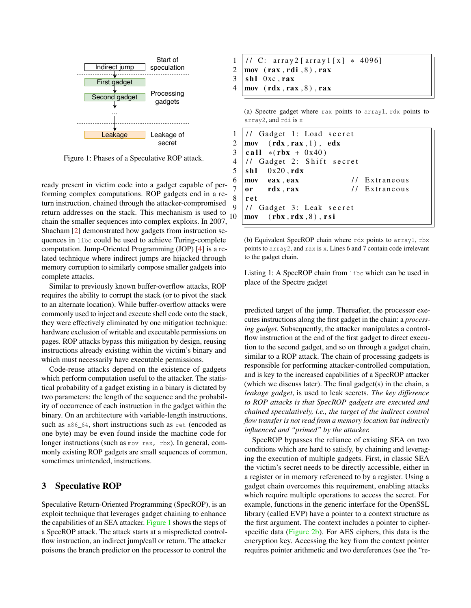<span id="page-2-0"></span>

Figure 1: Phases of a Speculative ROP attack.

ready present in victim code into a gadget capable of performing complex computations. ROP gadgets end in a return instruction, chained through the attacker-compromised return addresses on the stack. This mechanism is used to chain the smaller sequences into complex exploits. In 2007, Shacham [\[2\]](#page-12-1) demonstrated how gadgets from instruction sequences in libc could be used to achieve Turing-complete computation. Jump-Oriented Programming (JOP) [\[4\]](#page-12-3) is a related technique where indirect jumps are hijacked through memory corruption to similarly compose smaller gadgets into complete attacks.

Similar to previously known buffer-overflow attacks, ROP requires the ability to corrupt the stack (or to pivot the stack to an alternate location). While buffer-overflow attacks were commonly used to inject and execute shell code onto the stack, they were effectively eliminated by one mitigation technique: hardware exclusion of writable and executable permissions on pages. ROP attacks bypass this mitigation by design, reusing instructions already existing within the victim's binary and which must necessarily have executable permissions.

Code-reuse attacks depend on the existence of gadgets which perform computation useful to the attacker. The statistical probability of a gadget existing in a binary is dictated by two parameters: the length of the sequence and the probability of occurrence of each instruction in the gadget within the binary. On an architecture with variable-length instructions, such as  $x86_64$ , short instructions such as ret (encoded as one byte) may be even found inside the machine code for longer instructions (such as mov rax, rbx). In general, commonly existing ROP gadgets are small sequences of common, sometimes unintended, instructions.

# 3 Speculative ROP

Speculative Return-Oriented Programming (SpecROP), is an exploit technique that leverages gadget chaining to enhance the capabilities of an SEA attacker. [Figure 1](#page-2-0) shows the steps of a SpecROP attack. The attack starts at a mispredicted controlflow instruction, an indirect jump/call or return. The attacker poisons the branch predictor on the processor to control the

```
\frac{1}{2} // C: array 2 [array 1 [x] * 4096]
   mov (rax, rdi, 8), rax
3 shl 0xc, rax
4 \mid \text{mov} \text{ (rdx, raz, 8), raz}
```
(a) Spectre gadget where rax points to array1, rdx points to array2, and rdi is x

```
1 / / Gadget 1: Load secret
2 \mid \text{mov} \quad (\text{rdx}, \text{rax}, 1), \text{edx}3 \begin{array}{|l} 3 & \text{call} *(\text{rbx} + 0x40) \\ 4 \end{array}// Gadget 2: Shift secret
5 \mid shl \quad 0x20, rdx
 6 \mid \text{mov} \quad \text{eax}, \text{eax} // Extraneous
 7 \vert \text{or} \text{r} \text{d} \text{x}, \text{r} \text{a} \text{x} // Extraneous
8 \vert ret
      // Gadget 3: Leak secret
10 \mid \text{mov} \quad (\text{rbx}, \text{rdx}, 8), rsi
```
(b) Equivalent SpecROP chain where rdx points to array1, rbx points to array2, and rax is x. Lines 6 and 7 contain code irrelevant to the gadget chain.

Listing 1: A SpecROP chain from libc which can be used in place of the Spectre gadget

predicted target of the jump. Thereafter, the processor executes instructions along the first gadget in the chain: a *processing gadget*. Subsequently, the attacker manipulates a controlflow instruction at the end of the first gadget to direct execution to the second gadget, and so on through a gadget chain, similar to a ROP attack. The chain of processing gadgets is responsible for performing attacker-controlled computation, and is key to the increased capabilities of a SpecROP attacker (which we discuss later). The final gadget(s) in the chain, a *leakage gadget*, is used to leak secrets. *The key difference to ROP attacks is that SpecROP gadgets are executed and chained speculatively, i.e., the target of the indirect control flow transfer is not read from a memory location but indirectly influenced and "primed" by the attacker.*

SpecROP bypasses the reliance of existing SEA on two conditions which are hard to satisfy, by chaining and leveraging the execution of multiple gadgets. First, in classic SEA the victim's secret needs to be directly accessible, either in a register or in memory referenced to by a register. Using a gadget chain overcomes this requirement, enabling attacks which require multiple operations to access the secret. For example, functions in the generic interface for the OpenSSL library (called EVP) have a pointer to a context structure as the first argument. The context includes a pointer to cipherspecific data [\(Figure 2b\)](#page-3-0). For AES ciphers, this data is the encryption key. Accessing the key from the context pointer requires pointer arithmetic and two dereferences (see the "re-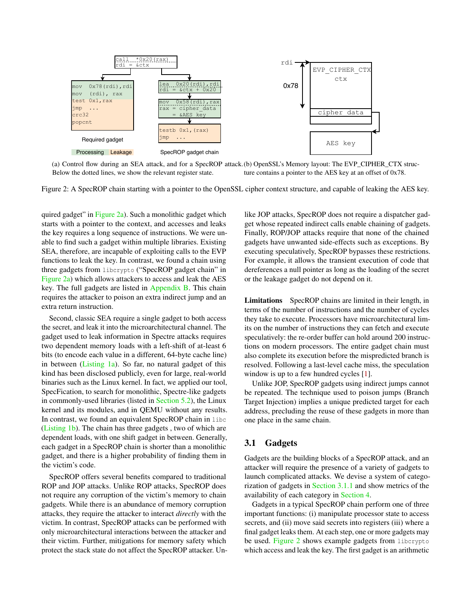<span id="page-3-0"></span>

(a) Control flow during an SEA attack, and for a SpecROP attack. (b) OpenSSL's Memory layout: The EVP\_CIPHER\_CTX struc-Below the dotted lines, we show the relevant register state. ture contains a pointer to the AES key at an offset of 0x78.

Figure 2: A SpecROP chain starting with a pointer to the OpenSSL cipher context structure, and capable of leaking the AES key.

quired gadget" in [Figure 2a\)](#page-3-0). Such a monolithic gadget which starts with a pointer to the context, and accesses and leaks the key requires a long sequence of instructions. We were unable to find such a gadget within multiple libraries. Existing SEA, therefore, are incapable of exploiting calls to the EVP functions to leak the key. In contrast, we found a chain using three gadgets from libcrypto ("SpecROP gadget chain" in [Figure 2a\)](#page-3-0) which allows attackers to access and leak the AES key. The full gadgets are listed in [Appendix B.](#page-14-0) This chain requires the attacker to poison an extra indirect jump and an extra return instruction.

Second, classic SEA require a single gadget to both access the secret, and leak it into the microarchitectural channel. The gadget used to leak information in Spectre attacks requires two dependent memory loads with a left-shift of at-least 6 bits (to encode each value in a different, 64-byte cache line) in between [\(Listing 1a\)](#page-2-1). So far, no natural gadget of this kind has been disclosed publicly, even for large, real-world binaries such as the Linux kernel. In fact, we applied our tool, SpecFication, to search for monolithic, Spectre-like gadgets in commonly-used libraries (listed in [Section 5.2\)](#page-8-0), the Linux kernel and its modules, and in QEMU without any results. In contrast, we found an equivalent SpecROP chain in libc [\(Listing 1b\)](#page-2-1). The chain has three gadgets , two of which are dependent loads, with one shift gadget in between. Generally, each gadget in a SpecROP chain is shorter than a monolithic gadget, and there is a higher probability of finding them in the victim's code.

SpecROP offers several benefits compared to traditional ROP and JOP attacks. Unlike ROP attacks, SpecROP does not require any corruption of the victim's memory to chain gadgets. While there is an abundance of memory corruption attacks, they require the attacker to interact *directly* with the victim. In contrast, SpecROP attacks can be performed with only microarchitectural interactions between the attacker and their victim. Further, mitigations for memory safety which protect the stack state do not affect the SpecROP attacker. Unlike JOP attacks, SpecROP does not require a dispatcher gadget whose repeated indirect calls enable chaining of gadgets. Finally, ROP/JOP attacks require that none of the chained gadgets have unwanted side-effects such as exceptions. By executing speculatively, SpecROP bypasses these restrictions. For example, it allows the transient execution of code that dereferences a null pointer as long as the loading of the secret or the leakage gadget do not depend on it.

Limitations SpecROP chains are limited in their length, in terms of the number of instructions and the number of cycles they take to execute. Processors have microarchitectural limits on the number of instructions they can fetch and execute speculatively: the re-order buffer can hold around 200 instructions on modern processors. The entire gadget chain must also complete its execution before the mispredicted branch is resolved. Following a last-level cache miss, the speculation window is up to a few hundred cycles [\[1\]](#page-12-0).

Unlike JOP, SpecROP gadgets using indirect jumps cannot be repeated. The technique used to poison jumps (Branch Target Injection) implies a unique predicted target for each address, precluding the reuse of these gadgets in more than one place in the same chain.

# 3.1 Gadgets

Gadgets are the building blocks of a SpecROP attack, and an attacker will require the presence of a variety of gadgets to launch complicated attacks. We devise a system of categorization of gadgets in [Section 3.1.1](#page-4-0) and show metrics of the availability of each category in [Section 4.](#page-4-1)

Gadgets in a typical SpecROP chain perform one of three important functions: (i) manipulate processor state to access secrets, and (ii) move said secrets into registers (iii) where a final gadget leaks them. At each step, one or more gadgets may be used. [Figure 2](#page-3-0) shows example gadgets from libcrypto which access and leak the key. The first gadget is an arithmetic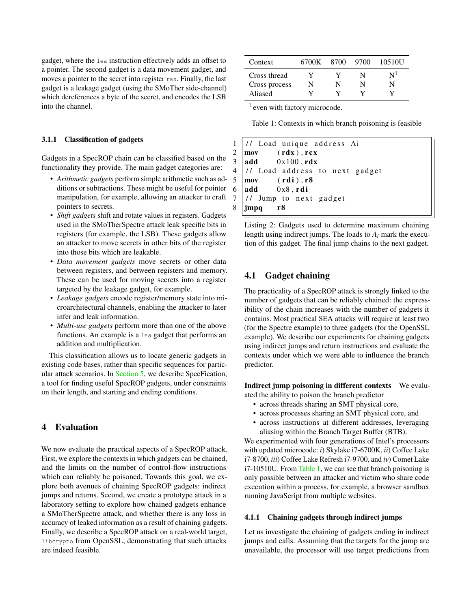gadget, where the lea instruction effectively adds an offset to a pointer. The second gadget is a data movement gadget, and moves a pointer to the secret into register rax. Finally, the last gadget is a leakage gadget (using the SMoTher side-channel) which dereferences a byte of the secret, and encodes the LSB into the channel.

#### <span id="page-4-0"></span>3.1.1 Classification of gadgets

Gadgets in a SpecROP chain can be classified based on the functionality they provide. The main gadget categories are:

- *Arithmetic gadgets* perform simple arithmetic such as additions or subtractions. These might be useful for pointer manipulation, for example, allowing an attacker to craft pointers to secrets.
- *Shift gadgets* shift and rotate values in registers. Gadgets used in the SMoTherSpectre attack leak specific bits in registers (for example, the LSB). These gadgets allow an attacker to move secrets in other bits of the register into those bits which are leakable.
- *Data movement gadgets* move secrets or other data between registers, and between registers and memory. These can be used for moving secrets into a register targeted by the leakage gadget, for example.
- *Leakage gadgets* encode register/memory state into microarchitectural channels, enabling the attacker to later infer and leak information.
- *Multi-use gadgets* perform more than one of the above functions. An example is a lea gadget that performs an addition and multiplication.

This classification allows us to locate generic gadgets in existing code bases, rather than specific sequences for particular attack scenarios. In [Section 5,](#page-7-0) we describe SpecFication, a tool for finding useful SpecROP gadgets, under constraints on their length, and starting and ending conditions.

# <span id="page-4-1"></span>4 Evaluation

We now evaluate the practical aspects of a SpecROP attack. First, we explore the contexts in which gadgets can be chained, and the limits on the number of control-flow instructions which can reliably be poisoned. Towards this goal, we explore both avenues of chaining SpecROP gadgets: indirect jumps and returns. Second, we create a prototype attack in a laboratory setting to explore how chained gadgets enhance a SMoTherSpectre attack, and whether there is any loss in accuracy of leaked information as a result of chaining gadgets. Finally, we describe a SpecROP attack on a real-world target, libcrypto from OpenSSL, demonstrating that such attacks are indeed feasible.

<span id="page-4-2"></span>

| Context       | 6700K | -8700 | 9700 | 10510U      |
|---------------|-------|-------|------|-------------|
| Cross thread  | Y     |       | N    | ${\rm N}^1$ |
| Cross process | N     | N     | N    | N           |
| Aliased       |       |       |      |             |

<sup>1</sup> even with factory microcode.

Table 1: Contexts in which branch poisoning is feasible

<span id="page-4-3"></span>

| $1$ // Load unique address Ai                                                                                                            |
|------------------------------------------------------------------------------------------------------------------------------------------|
| $\begin{array}{ccc} 2 & \text{mov} & (\text{rdx}), \text{rcx} \\ 3 & \text{add} & 0x100, \text{rdx} \end{array}$                         |
|                                                                                                                                          |
| $\frac{4}{5}$ // Load address to next gadget<br>5 <b>mov</b> (rdi), r8                                                                   |
|                                                                                                                                          |
|                                                                                                                                          |
| $\begin{array}{c cc}\n6 & \text{add} & 0x8, \text{rdi} \\ 7 & // \text{Jump to next gadget} \\ 8 & \text{impq} & \text{r8}\n\end{array}$ |
|                                                                                                                                          |

Listing 2: Gadgets used to determine maximum chaining length using indirect jumps. The loads to  $A_i$  mark the execution of this gadget. The final jump chains to the next gadget.

## <span id="page-4-4"></span>4.1 Gadget chaining

The practicality of a SpecROP attack is strongly linked to the number of gadgets that can be reliably chained: the expressibility of the chain increases with the number of gadgets it contains. Most practical SEA attacks will require at least two (for the Spectre example) to three gadgets (for the OpenSSL example). We describe our experiments for chaining gadgets using indirect jumps and return instructions and evaluate the contexts under which we were able to influence the branch predictor.

Indirect jump poisoning in different contexts We evaluated the ability to poison the branch predictor

- across threads sharing an SMT physical core,
- across processes sharing an SMT physical core, and
- across instructions at different addresses, leveraging aliasing within the Branch Target Buffer (BTB).

We experimented with four generations of Intel's processors with updated microcode: *i*) Skylake i7-6700K, *ii*) Coffee Lake i7-8700, *iii*) Coffee Lake Refresh i7-9700, and *iv*) Comet Lake i7-10510U. From [Table 1,](#page-4-2) we can see that branch poisoning is only possible between an attacker and victim who share code execution within a process, for example, a browser sandbox running JavaScript from multiple websites.

#### <span id="page-4-5"></span>4.1.1 Chaining gadgets through indirect jumps

Let us investigate the chaining of gadgets ending in indirect jumps and calls. Assuming that the targets for the jump are unavailable, the processor will use target predictions from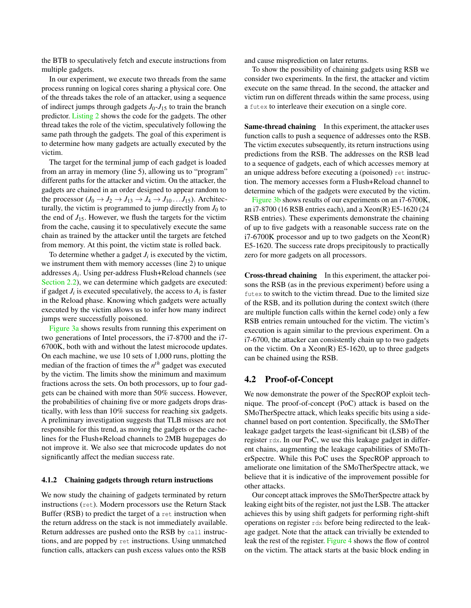the BTB to speculatively fetch and execute instructions from multiple gadgets.

In our experiment, we execute two threads from the same process running on logical cores sharing a physical core. One of the threads takes the role of an attacker, using a sequence of indirect jumps through gadgets  $J_0$ - $J_1$ <sub>5</sub> to train the branch predictor. [Listing 2](#page-4-3) shows the code for the gadgets. The other thread takes the role of the victim, speculatively following the same path through the gadgets. The goal of this experiment is to determine how many gadgets are actually executed by the victim.

The target for the terminal jump of each gadget is loaded from an array in memory (line 5), allowing us to "program" different paths for the attacker and victim. On the attacker, the gadgets are chained in an order designed to appear random to the processor  $(J_0 \rightarrow J_2 \rightarrow J_{13} \rightarrow J_4 \rightarrow J_{10} \dots J_{15})$ . Architecturally, the victim is programmed to jump directly from  $J_0$  to the end of  $J_{15}$ . However, we flush the targets for the victim from the cache, causing it to speculatively execute the same chain as trained by the attacker until the targets are fetched from memory. At this point, the victim state is rolled back.

To determine whether a gadget  $J_i$  is executed by the victim, we instrument them with memory accesses (line 2) to unique addresses *A<sup>i</sup>* . Using per-address Flush+Reload channels (see [Section 2.2\)](#page-1-0), we can determine which gadgets are executed: if gadget  $J_i$  is executed speculatively, the access to  $A_i$  is faster in the Reload phase. Knowing which gadgets were actually executed by the victim allows us to infer how many indirect jumps were successfully poisoned.

[Figure 3a](#page-6-0) shows results from running this experiment on two generations of Intel processors, the i7-8700 and the i7- 6700K, both with and without the latest microcode updates. On each machine, we use 10 sets of 1,000 runs, plotting the median of the fraction of times the *n th* gadget was executed by the victim. The limits show the minimum and maximum fractions across the sets. On both processors, up to four gadgets can be chained with more than 50% success. However, the probabilities of chaining five or more gadgets drops drastically, with less than 10% success for reaching six gadgets. A preliminary investigation suggests that TLB misses are not responsible for this trend, as moving the gadgets or the cachelines for the Flush+Reload channels to 2MB hugepages do not improve it. We also see that microcode updates do not significantly affect the median success rate.

#### 4.1.2 Chaining gadgets through return instructions

We now study the chaining of gadgets terminated by return instructions (ret). Modern processors use the Return Stack Buffer (RSB) to predict the target of a ret instruction when the return address on the stack is not immediately available. Return addresses are pushed onto the RSB by call instructions, and are popped by ret instructions. Using unmatched function calls, attackers can push excess values onto the RSB

and cause misprediction on later returns.

To show the possibility of chaining gadgets using RSB we consider two experiments. In the first, the attacker and victim execute on the same thread. In the second, the attacker and victim run on different threads within the same process, using a futex to interleave their execution on a single core.

Same-thread chaining In this experiment, the attacker uses function calls to push a sequence of addresses onto the RSB. The victim executes subsequently, its return instructions using predictions from the RSB. The addresses on the RSB lead to a sequence of gadgets, each of which accesses memory at an unique address before executing a (poisoned) ret instruction. The memory accesses form a Flush+Reload channel to determine which of the gadgets were executed by the victim.

[Figure 3b](#page-6-0) shows results of our experiments on an i7-6700K, an i7-8700 (16 RSB entries each), and a Xeon(R) E5-1620 (24 RSB entries). These experiments demonstrate the chaining of up to five gadgets with a reasonable success rate on the  $i7-6700K$  processor and up to two gadgets on the  $Xeon(R)$ E5-1620. The success rate drops precipitously to practically zero for more gadgets on all processors.

Cross-thread chaining In this experiment, the attacker poisons the RSB (as in the previous experiment) before using a futex to switch to the victim thread. Due to the limited size of the RSB, and its pollution during the context switch (there are multiple function calls within the kernel code) only a few RSB entries remain untouched for the victim. The victim's execution is again similar to the previous experiment. On a i7-6700, the attacker can consistently chain up to two gadgets on the victim. On a  $Xeon(R)$  E5-1620, up to three gadgets can be chained using the RSB.

## 4.2 Proof-of-Concept

We now demonstrate the power of the SpecROP exploit technique. The proof-of-concept (PoC) attack is based on the SMoTherSpectre attack, which leaks specific bits using a sidechannel based on port contention. Specifically, the SMoTher leakage gadget targets the least-significant bit (LSB) of the register rdx. In our PoC, we use this leakage gadget in different chains, augmenting the leakage capabilities of SMoTherSpectre. While this PoC uses the SpecROP approach to ameliorate one limitation of the SMoTherSpectre attack, we believe that it is indicative of the improvement possible for other attacks.

Our concept attack improves the SMoTherSpectre attack by leaking eight bits of the register, not just the LSB. The attacker achieves this by using shift gadgets for performing right-shift operations on register rdx before being redirected to the leakage gadget. Note that the attack can trivially be extended to leak the rest of the register. [Figure 4](#page-6-1) shows the flow of control on the victim. The attack starts at the basic block ending in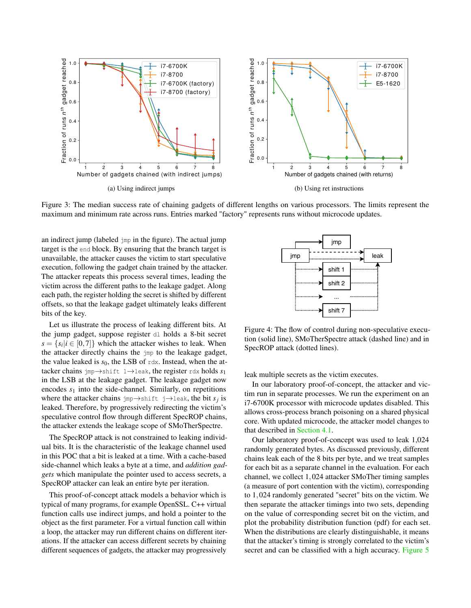<span id="page-6-0"></span>

Figure 3: The median success rate of chaining gadgets of different lengths on various processors. The limits represent the maximum and minimum rate across runs. Entries marked "factory" represents runs without microcode updates.

an indirect jump (labeled jmp in the figure). The actual jump target is the end block. By ensuring that the branch target is unavailable, the attacker causes the victim to start speculative execution, following the gadget chain trained by the attacker. The attacker repeats this process several times, leading the victim across the different paths to the leakage gadget. Along each path, the register holding the secret is shifted by different offsets, so that the leakage gadget ultimately leaks different bits of the key.

Let us illustrate the process of leaking different bits. At the jump gadget, suppose register dl holds a 8-bit secret  $s = \{s_i | i \in [0, 7]\}$  which the attacker wishes to leak. When the attacker directly chains the jmp to the leakage gadget, the value leaked is  $s_0$ , the LSB of  $rdx$ . Instead, when the attacker chains  $\text{imp}\rightarrow \text{shift } 1\rightarrow \text{leak}$ , the register rdx holds  $s_1$ in the LSB at the leakage gadget. The leakage gadget now encodes  $s_1$  into the side-channel. Similarly, on repetitions where the attacker chains jmp $\rightarrow$ shift j $\rightarrow$ leak, the bit *s<sub>j</sub>* is leaked. Therefore, by progressively redirecting the victim's speculative control flow through different SpecROP chains, the attacker extends the leakage scope of SMoTherSpectre.

The SpecROP attack is not constrained to leaking individual bits. It is the characteristic of the leakage channel used in this POC that a bit is leaked at a time. With a cache-based side-channel which leaks a byte at a time, and *addition gadgets* which manipulate the pointer used to access secrets, a SpecROP attacker can leak an entire byte per iteration.

This proof-of-concept attack models a behavior which is typical of many programs, for example OpenSSL. C++ virtual function calls use indirect jumps, and hold a pointer to the object as the first parameter. For a virtual function call within a loop, the attacker may run different chains on different iterations. If the attacker can access different secrets by chaining different sequences of gadgets, the attacker may progressively

<span id="page-6-1"></span>

Figure 4: The flow of control during non-speculative execution (solid line), SMoTherSpectre attack (dashed line) and in SpecROP attack (dotted lines).

leak multiple secrets as the victim executes.

In our laboratory proof-of-concept, the attacker and victim run in separate processes. We run the experiment on an i7-6700K processor with microcode updates disabled. This allows cross-process branch poisoning on a shared physical core. With updated microcode, the attacker model changes to that described in [Section 4.1.](#page-4-4)

Our laboratory proof-of-concept was used to leak 1,024 randomly generated bytes. As discussed previously, different chains leak each of the 8 bits per byte, and we treat samples for each bit as a separate channel in the evaluation. For each channel, we collect 1,024 attacker SMoTher timing samples (a measure of port contention with the victim), corresponding to 1,024 randomly generated "secret" bits on the victim. We then separate the attacker timings into two sets, depending on the value of corresponding secret bit on the victim, and plot the probability distribution function (pdf) for each set. When the distributions are clearly distinguishable, it means that the attacker's timing is strongly correlated to the victim's secret and can be classified with a high accuracy. [Figure 5](#page-7-1)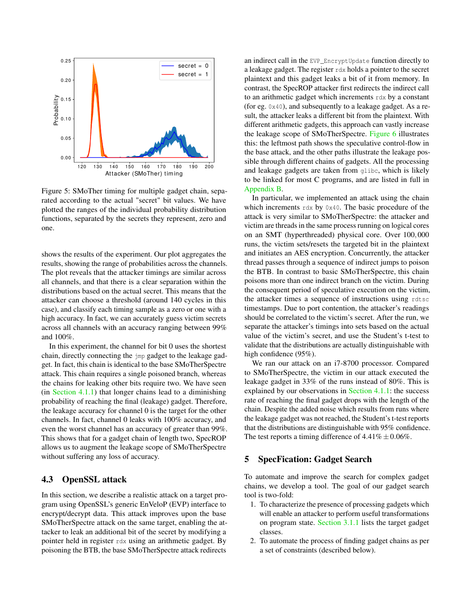<span id="page-7-1"></span>

Figure 5: SMoTher timing for multiple gadget chain, separated according to the actual "secret" bit values. We have plotted the ranges of the individual probability distribution functions, separated by the secrets they represent, zero and one.

shows the results of the experiment. Our plot aggregates the results, showing the range of probabilities across the channels. The plot reveals that the attacker timings are similar across all channels, and that there is a clear separation within the distributions based on the actual secret. This means that the attacker can choose a threshold (around 140 cycles in this case), and classify each timing sample as a zero or one with a high accuracy. In fact, we can accurately guess victim secrets across all channels with an accuracy ranging between 99% and 100%.

In this experiment, the channel for bit 0 uses the shortest chain, directly connecting the jmp gadget to the leakage gadget. In fact, this chain is identical to the base SMoTherSpectre attack. This chain requires a single poisoned branch, whereas the chains for leaking other bits require two. We have seen  $(in Section 4.1.1)$  $(in Section 4.1.1)$  that longer chains lead to a diminishing probability of reaching the final (leakage) gadget. Therefore, the leakage accuracy for channel 0 is the target for the other channels. In fact, channel 0 leaks with 100% accuracy, and even the worst channel has an accuracy of greater than 99%. This shows that for a gadget chain of length two, SpecROP allows us to augment the leakage scope of SMoTherSpectre without suffering any loss of accuracy.

# 4.3 OpenSSL attack

In this section, we describe a realistic attack on a target program using OpenSSL's generic EnVeloP (EVP) interface to encrypt/decrypt data. This attack improves upon the base SMoTherSpectre attack on the same target, enabling the attacker to leak an additional bit of the secret by modifying a pointer held in register rdx using an arithmetic gadget. By poisoning the BTB, the base SMoTherSpectre attack redirects

an indirect call in the EVP\_EncryptUpdate function directly to a leakage gadget. The register rdx holds a pointer to the secret plaintext and this gadget leaks a bit of it from memory. In contrast, the SpecROP attacker first redirects the indirect call to an arithmetic gadget which increments rdx by a constant (for eg. 0x40), and subsequently to a leakage gadget. As a result, the attacker leaks a different bit from the plaintext. With different arithmetic gadgets, this approach can vastly increase the leakage scope of SMoTherSpectre. [Figure 6](#page-8-1) illustrates this: the leftmost path shows the speculative control-flow in the base attack, and the other paths illustrate the leakage possible through different chains of gadgets. All the processing and leakage gadgets are taken from glibc, which is likely to be linked for most C programs, and are listed in full in [Appendix B.](#page-14-0)

In particular, we implemented an attack using the chain which increments rdx by 0x40. The basic procedure of the attack is very similar to SMoTherSpectre: the attacker and victim are threads in the same process running on logical cores on an SMT (hyperthreaded) physical core. Over 100,000 runs, the victim sets/resets the targeted bit in the plaintext and initiates an AES encryption. Concurrently, the attacker thread passes through a sequence of indirect jumps to poison the BTB. In contrast to basic SMoTherSpectre, this chain poisons more than one indirect branch on the victim. During the consequent period of speculative execution on the victim, the attacker times a sequence of instructions using rdtsc timestamps. Due to port contention, the attacker's readings should be correlated to the victim's secret. After the run, we separate the attacker's timings into sets based on the actual value of the victim's secret, and use the Student's t-test to validate that the distributions are actually distinguishable with high confidence (95%).

We ran our attack on an i7-8700 processor. Compared to SMoTherSpectre, the victim in our attack executed the leakage gadget in 33% of the runs instead of 80%. This is explained by our observations in [Section 4.1.1:](#page-4-5) the success rate of reaching the final gadget drops with the length of the chain. Despite the added noise which results from runs where the leakage gadget was not reached, the Student's t-test reports that the distributions are distinguishable with 95% confidence. The test reports a timing difference of  $4.41\% \pm 0.06\%$ .

#### <span id="page-7-0"></span>5 SpecFication: Gadget Search

To automate and improve the search for complex gadget chains, we develop a tool. The goal of our gadget search tool is two-fold:

- 1. To characterize the presence of processing gadgets which will enable an attacker to perform useful transformations on program state. [Section 3.1.1](#page-4-0) lists the target gadget classes.
- 2. To automate the process of finding gadget chains as per a set of constraints (described below).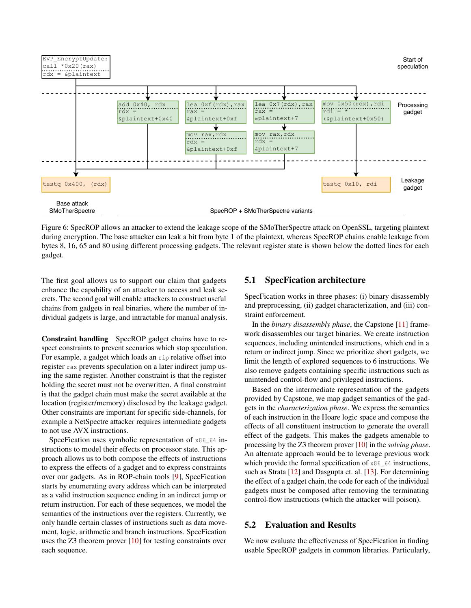<span id="page-8-1"></span>

Figure 6: SpecROP allows an attacker to extend the leakage scope of the SMoTherSpectre attack on OpenSSL, targeting plaintext during encryption. The base attacker can leak a bit from byte 1 of the plaintext, whereas SpecROP chains enable leakage from bytes 8, 16, 65 and 80 using different processing gadgets. The relevant register state is shown below the dotted lines for each gadget.

The first goal allows us to support our claim that gadgets enhance the capability of an attacker to access and leak secrets. The second goal will enable attackers to construct useful chains from gadgets in real binaries, where the number of individual gadgets is large, and intractable for manual analysis.

Constraint handling SpecROP gadget chains have to respect constraints to prevent scenarios which stop speculation. For example, a gadget which loads an rip relative offset into register rax prevents speculation on a later indirect jump using the same register. Another constraint is that the register holding the secret must not be overwritten. A final constraint is that the gadget chain must make the secret available at the location (register/memory) disclosed by the leakage gadget. Other constraints are important for specific side-channels, for example a NetSpectre attacker requires intermediate gadgets to not use AVX instructions.

SpecFication uses symbolic representation of x86\_64 instructions to model their effects on processor state. This approach allows us to both compose the effects of instructions to express the effects of a gadget and to express constraints over our gadgets. As in ROP-chain tools [\[9\]](#page-12-8), SpecFication starts by enumerating every address which can be interpreted as a valid instruction sequence ending in an indirect jump or return instruction. For each of these sequences, we model the semantics of the instructions over the registers. Currently, we only handle certain classes of instructions such as data movement, logic, arithmetic and branch instructions. SpecFication uses the Z3 theorem prover [\[10\]](#page-13-0) for testing constraints over each sequence.

# 5.1 SpecFication architecture

SpecFication works in three phases: (i) binary disassembly and preprocessing, (ii) gadget characterization, and (iii) constraint enforcement.

In the *binary disassembly phase*, the Capstone [\[11\]](#page-13-1) framework disassembles our target binaries. We create instruction sequences, including unintended instructions, which end in a return or indirect jump. Since we prioritize short gadgets, we limit the length of explored sequences to 6 instructions. We also remove gadgets containing specific instructions such as unintended control-flow and privileged instructions.

Based on the intermediate representation of the gadgets provided by Capstone, we map gadget semantics of the gadgets in the *characterization phase*. We express the semantics of each instruction in the Hoare logic space and compose the effects of all constituent instruction to generate the overall effect of the gadgets. This makes the gadgets amenable to processing by the Z3 theorem prover [\[10\]](#page-13-0) in the *solving phase*. An alternate approach would be to leverage previous work which provide the formal specification of  $x86_64$  instructions, such as Strata [\[12\]](#page-13-2) and Dasgupta et. al. [\[13\]](#page-13-3). For determining the effect of a gadget chain, the code for each of the individual gadgets must be composed after removing the terminating control-flow instructions (which the attacker will poison).

#### <span id="page-8-0"></span>5.2 Evaluation and Results

We now evaluate the effectiveness of SpecFication in finding usable SpecROP gadgets in common libraries. Particularly,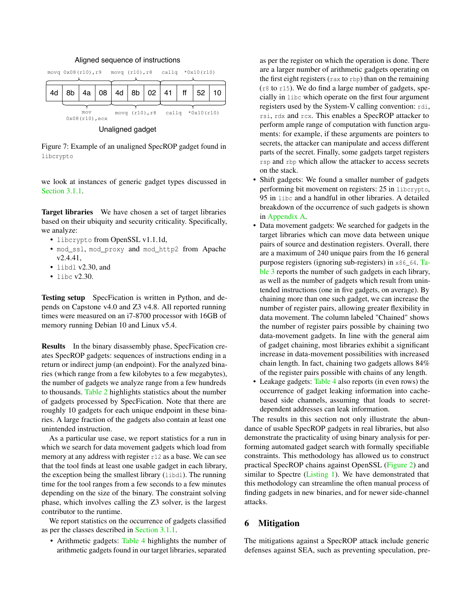

Unaligned gadget

Figure 7: Example of an unaligned SpecROP gadget found in libcrypto

we look at instances of generic gadget types discussed in [Section 3.1.1.](#page-4-0)

Target libraries We have chosen a set of target libraries based on their ubiquity and security criticality. Specifically, we analyze:

- libcrypto from OpenSSL v1.1.1d,
- mod\_ssl, mod\_proxy and mod\_http2 from Apache v2.4.41,
- libdl v2.30, and
- libc v2.30.

Testing setup SpecFication is written in Python, and depends on Capstone v4.0 and Z3 v4.8. All reported running times were measured on an i7-8700 processor with 16GB of memory running Debian 10 and Linux v5.4.

Results In the binary disassembly phase, SpecFication creates SpecROP gadgets: sequences of instructions ending in a return or indirect jump (an endpoint). For the analyzed binaries (which range from a few kilobytes to a few megabytes), the number of gadgets we analyze range from a few hundreds to thousands. [Table 2](#page-10-0) highlights statistics about the number of gadgets processed by SpecFication. Note that there are roughly 10 gadgets for each unique endpoint in these binaries. A large fraction of the gadgets also contain at least one unintended instruction.

As a particular use case, we report statistics for a run in which we search for data movement gadgets which load from memory at any address with register r12 as a base. We can see that the tool finds at least one usable gadget in each library, the exception being the smallest library (libdl). The running time for the tool ranges from a few seconds to a few minutes depending on the size of the binary. The constraint solving phase, which involves calling the Z3 solver, is the largest contributor to the runtime.

We report statistics on the occurrence of gadgets classified as per the classes described in [Section 3.1.1.](#page-4-0)

• Arithmetic gadgets: [Table 4](#page-11-0) highlights the number of arithmetic gadgets found in our target libraries, separated as per the register on which the operation is done. There are a larger number of arithmetic gadgets operating on the first eight registers (rax to rbp) than on the remaining (r8 to r15). We do find a large number of gadgets, specially in libc which operate on the first four argument registers used by the System-V calling convention: rdi, rsi, rdx and rcx. This enables a SpecROP attacker to perform ample range of computation with function arguments: for example, if these arguments are pointers to secrets, the attacker can manipulate and access different parts of the secret. Finally, some gadgets target registers rsp and rbp which allow the attacker to access secrets on the stack.

- Shift gadgets: We found a smaller number of gadgets performing bit movement on registers: 25 in libcrypto, 95 in libc and a handful in other libraries. A detailed breakdown of the occurrence of such gadgets is shown in [Appendix A.](#page-14-1)
- Data movement gadgets: We searched for gadgets in the target libraries which can move data between unique pairs of source and destination registers. Overall, there are a maximum of 240 unique pairs from the 16 general purpose registers (ignoring sub-registers) in x86\_64. [Ta](#page-10-1)[ble 3](#page-10-1) reports the number of such gadgets in each library, as well as the number of gadgets which result from unintended instructions (one in five gadgets, on average). By chaining more than one such gadget, we can increase the number of register pairs, allowing greater flexibility in data movement. The column labeled "Chained" shows the number of register pairs possible by chaining two data-movement gadgets. In line with the general aim of gadget chaining, most libraries exhibit a significant increase in data-movement possibilities with increased chain length. In fact, chaining two gadgets allows 84% of the register pairs possible with chains of any length.
- Leakage gadgets: [Table 4](#page-11-0) also reports (in even rows) the occurrence of gadget leaking information into cachebased side channels, assuming that loads to secretdependent addresses can leak information.

The results in this section not only illustrate the abundance of usable SpecROP gadgets in real libraries, but also demonstrate the practicality of using binary analysis for performing automated gadget search with formally specifiable constraints. This methodology has allowed us to construct practical SpecROP chains against OpenSSL [\(Figure 2\)](#page-3-0) and similar to Spectre [\(Listing 1\)](#page-2-1). We have demonstrated that this methodology can streamline the often manual process of finding gadgets in new binaries, and for newer side-channel attacks.

# 6 Mitigation

The mitigations against a SpecROP attack include generic defenses against SEA, such as preventing speculation, pre-

#### Aligned sequence of instructions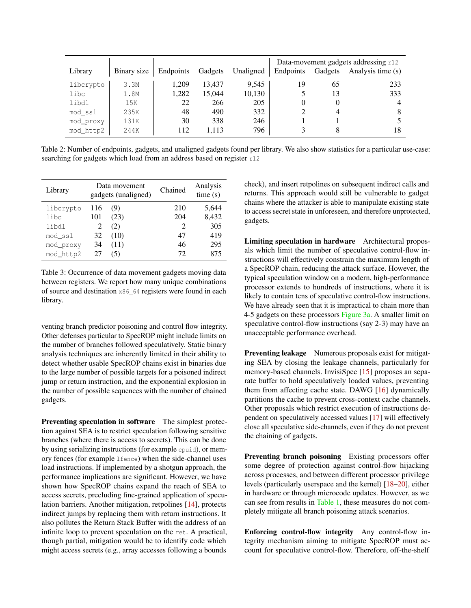<span id="page-10-0"></span>

|           |             |           |         |           |           |          | Data-movement gadgets addressing r12 |
|-----------|-------------|-----------|---------|-----------|-----------|----------|--------------------------------------|
| Library   | Binary size | Endpoints | Gadgets | Unaligned | Endpoints | Gadgets  | Analysis time (s)                    |
| libcrypto | 3.3M        | 1.209     | 13.437  | 9.545     | 19        | 65       | 233                                  |
| libc      | 1.8M        | 1,282     | 15.044  | 10,130    |           | 13       | 333                                  |
| libdl     | 15K         | 22        | 266     | 205       | 0         | $\theta$ |                                      |
| mod ssl   | 235K        | 48        | 490     | 332       | っ         | 4        |                                      |
| mod_proxy | 131K        | 30        | 338     | 246       |           |          |                                      |
| mod http2 | 244K        | 112       | 1.113   | 796       |           | 8        | 18                                   |

Table 2: Number of endpoints, gadgets, and unaligned gadgets found per library. We also show statistics for a particular use-case: searching for gadgets which load from an address based on register r12

<span id="page-10-1"></span>

| Library   |     | Data movement<br>gadgets (unaligned) | Chained        | Analysis<br>time(s) |
|-----------|-----|--------------------------------------|----------------|---------------------|
| libcrypto | 116 | (9)                                  | 210            | 5.644               |
| libc      | 101 | (23)                                 | 204            | 8,432               |
| libdl     | 2   | (2)                                  | $\mathfrak{D}$ | 305                 |
| mod ssl   | 32  | (10)                                 | 47             | 419                 |
| mod proxy | 34  | (11)                                 | 46             | 295                 |
| mod_http2 | 27  | 3)                                   | 72             | 875                 |

Table 3: Occurrence of data movement gadgets moving data between registers. We report how many unique combinations of source and destination x86\_64 registers were found in each library.

venting branch predictor poisoning and control flow integrity. Other defenses particular to SpecROP might include limits on the number of branches followed speculatively. Static binary analysis techniques are inherently limited in their ability to detect whether usable SpecROP chains exist in binaries due to the large number of possible targets for a poisoned indirect jump or return instruction, and the exponential explosion in the number of possible sequences with the number of chained gadgets.

Preventing speculation in software The simplest protection against SEA is to restrict speculation following sensitive branches (where there is access to secrets). This can be done by using serializing instructions (for example cpuid), or memory fences (for example lfence) when the side-channel uses load instructions. If implemented by a shotgun approach, the performance implications are significant. However, we have shown how SpecROP chains expand the reach of SEA to access secrets, precluding fine-grained application of speculation barriers. Another mitigation, retpolines [\[14\]](#page-13-4), protects indirect jumps by replacing them with return instructions. It also pollutes the Return Stack Buffer with the address of an infinite loop to prevent speculation on the ret. A practical, though partial, mitigation would be to identify code which might access secrets (e.g., array accesses following a bounds

check), and insert retpolines on subsequent indirect calls and returns. This approach would still be vulnerable to gadget chains where the attacker is able to manipulate existing state to access secret state in unforeseen, and therefore unprotected, gadgets.

Limiting speculation in hardware Architectural proposals which limit the number of speculative control-flow instructions will effectively constrain the maximum length of a SpecROP chain, reducing the attack surface. However, the typical speculation window on a modern, high-performance processor extends to hundreds of instructions, where it is likely to contain tens of speculative control-flow instructions. We have already seen that it is impractical to chain more than 4-5 gadgets on these processors [Figure 3a.](#page-6-0) A smaller limit on speculative control-flow instructions (say 2-3) may have an unacceptable performance overhead.

Preventing leakage Numerous proposals exist for mitigating SEA by closing the leakage channels, particularly for memory-based channels. InvisiSpec [\[15\]](#page-13-5) proposes an separate buffer to hold speculatively loaded values, preventing them from affecting cache state. DAWG [\[16\]](#page-13-6) dynamically partitions the cache to prevent cross-context cache channels. Other proposals which restrict execution of instructions dependent on speculatively accessed values [\[17\]](#page-13-7) will effectively close all speculative side-channels, even if they do not prevent the chaining of gadgets.

Preventing branch poisoning Existing processors offer some degree of protection against control-flow hijacking across processes, and between different processor privilege levels (particularly userspace and the kernel) [\[18](#page-13-8)[–20\]](#page-13-9), either in hardware or through microcode updates. However, as we can see from results in [Table 1,](#page-4-2) these measures do not completely mitigate all branch poisoning attack scenarios.

Enforcing control-flow integrity Any control-flow integrity mechanism aiming to mitigate SpecROP must account for speculative control-flow. Therefore, off-the-shelf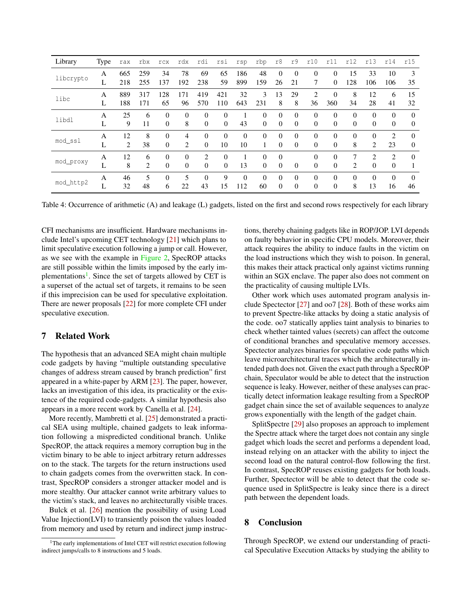<span id="page-11-0"></span>

| Library   | <b>Type</b> | rax            | rbx     | rcx                  | rdx                 | rdi                  | rsi                        | rsp      | rbp                        | r8                         | r9                         | r10                  | r11                  | r12                  | r13                        | r14                  | r15                  |
|-----------|-------------|----------------|---------|----------------------|---------------------|----------------------|----------------------------|----------|----------------------------|----------------------------|----------------------------|----------------------|----------------------|----------------------|----------------------------|----------------------|----------------------|
| libcrypto | А           | 665            | 259     | 34                   | 78                  | 69                   | 65                         | 186      | 48                         | $\theta$                   | $\Omega$                   | $\theta$             | $\Omega$             | 15                   | 33                         | 10                   | 3                    |
|           | L           | 218            | 255     | 137                  | 192                 | 238                  | 59                         | 899      | 159                        | 26                         | 21                         | 7                    | $\mathbf{0}$         | 128                  | 106                        | 106                  | 35                   |
| libc      | А           | 889            | 317     | 128                  | 171                 | 419                  | 421                        | 32       | 3                          | 13                         | 29                         | 2                    | $\Omega$             | 8                    | 12                         | 6                    | 15                   |
|           | L           | 188            | 171     | 65                   | 96                  | 570                  | 110                        | 643      | 231                        | 8                          | 8                          | 36                   | 360                  | 34                   | 28                         | 41                   | 32                   |
| libdl     | A<br>L      | 25<br>9        | 6<br>11 | $\Omega$<br>$\theta$ | $\Omega$<br>8       | $\theta$<br>$\theta$ | $\Omega$<br>$\overline{0}$ | 43       | $\Omega$<br>$\Omega$       | $\theta$<br>$\theta$       | $\Omega$<br>$\overline{0}$ | $\theta$<br>$\Omega$ | $\Omega$<br>$\Omega$ | $\theta$<br>$\theta$ | $\Omega$<br>$\Omega$       | $\Omega$<br>$\Omega$ | $\Omega$<br>$\Omega$ |
| mod_ssl   | A           | 12             | 8       | $\theta$             | 4                   | $\theta$             | $\theta$                   | $\Omega$ | $\Omega$                   | $\Omega$                   | $\Omega$                   | $\theta$             | $\Omega$             | $\theta$             | $\Omega$                   | 2                    | $\Omega$             |
|           | L           | $\overline{c}$ | 38      | $\theta$             | $\overline{c}$      | $\theta$             | 10                         | 10       | 1                          | $\Omega$                   | $\theta$                   | $\Omega$             | $\Omega$             | 8                    | 2                          | 23                   | $\Omega$             |
| mod_proxy | A<br>L      | 12<br>8        | 6<br>2  | $\theta$<br>$\theta$ | 0<br>$\overline{0}$ | 2<br>$\theta$        | $\Omega$<br>$\theta$       | 13       | $\Omega$<br>$\overline{0}$ | $\theta$<br>$\overline{0}$ | $\overline{0}$             | $\Omega$<br>$\theta$ | $\Omega$<br>$\Omega$ | 7<br>$\overline{2}$  | $\mathfrak{D}$<br>$\Omega$ | 2<br>$\theta$        | $\Omega$             |
| mod_http2 | A           | 46             | 5       | $\theta$             | 5                   | $\theta$             | 9                          | $\Omega$ | $\Omega$                   | $\Omega$                   | $\Omega$                   | $\theta$             | $\Omega$             | $\theta$             | $\Omega$                   | $\Omega$             | $\Omega$             |
|           | Ъ.          | 32             | 48      | 6                    | 22                  | 43                   | 15                         | 112      | 60                         | $\Omega$                   | $\Omega$                   | $\theta$             | $\Omega$             | 8                    | 13                         | 16                   | 46                   |

Table 4: Occurrence of arithmetic (A) and leakage (L) gadgets, listed on the first and second rows respectively for each library

CFI mechanisms are insufficient. Hardware mechanisms include Intel's upcoming CET technology [\[21\]](#page-13-10) which plans to limit speculative execution following a jump or call. However, as we see with the example in [Figure 2,](#page-3-0) SpecROP attacks are still possible within the limits imposed by the early im-plementations<sup>[1](#page-11-1)</sup>. Since the set of targets allowed by CET is a superset of the actual set of targets, it remains to be seen if this imprecision can be used for speculative exploitation. There are newer proposals [\[22\]](#page-13-11) for more complete CFI under speculative execution.

# 7 Related Work

The hypothesis that an advanced SEA might chain multiple code gadgets by having "multiple outstanding speculative changes of address stream caused by branch prediction" first appeared in a white-paper by ARM [\[23\]](#page-13-12). The paper, however, lacks an investigation of this idea, its practicality or the existence of the required code-gadgets. A similar hypothesis also appears in a more recent work by Canella et al. [\[24\]](#page-13-13).

More recently, Mambretti et al. [\[25\]](#page-13-14) demonstrated a practical SEA using multiple, chained gadgets to leak information following a mispredicted conditional branch. Unlike SpecROP, the attack requires a memory corruption bug in the victim binary to be able to inject arbitrary return addresses on to the stack. The targets for the return instructions used to chain gadgets comes from the overwritten stack. In contrast, SpecROP considers a stronger attacker model and is more stealthy. Our attacker cannot write arbitrary values to the victim's stack, and leaves no architecturally visible traces.

Bulck et al. [\[26\]](#page-13-15) mention the possibility of using Load Value Injection(LVI) to transiently poison the values loaded from memory and used by return and indirect jump instructions, thereby chaining gadgets like in ROP/JOP. LVI depends on faulty behavior in specific CPU models. Moreover, their attack requires the ability to induce faults in the victim on the load instructions which they wish to poison. In general, this makes their attack practical only against victims running within an SGX enclave. The paper also does not comment on the practicality of causing multiple LVIs.

Other work which uses automated program analysis include Spectector [\[27\]](#page-13-16) and oo7 [\[28\]](#page-14-2). Both of these works aim to prevent Spectre-like attacks by doing a static analysis of the code. oo7 statically applies taint analysis to binaries to check whether tainted values (secrets) can affect the outcome of conditional branches and speculative memory accesses. Spectector analyzes binaries for speculative code paths which leave microarchitectural traces which the architecturally intended path does not. Given the exact path through a SpecROP chain, Speculator would be able to detect that the instruction sequence is leaky. However, neither of these analyses can practically detect information leakage resulting from a SpecROP gadget chain since the set of available sequences to analyze grows exponentially with the length of the gadget chain.

SplitSpectre [\[29\]](#page-14-3) also proposes an approach to implement the Spectre attack where the target does not contain any single gadget which loads the secret and performs a dependent load, instead relying on an attacker with the ability to inject the second load on the natural control-flow following the first. In contrast, SpecROP reuses existing gadgets for both loads. Further, Spectector will be able to detect that the code sequence used in SplitSpectre is leaky since there is a direct path between the dependent loads.

## 8 Conclusion

Through SpecROP, we extend our understanding of practical Speculative Execution Attacks by studying the ability to

<span id="page-11-1"></span><sup>&</sup>lt;sup>1</sup>The early implementations of Intel CET will restrict execution following indirect jumps/calls to 8 instructions and 5 loads.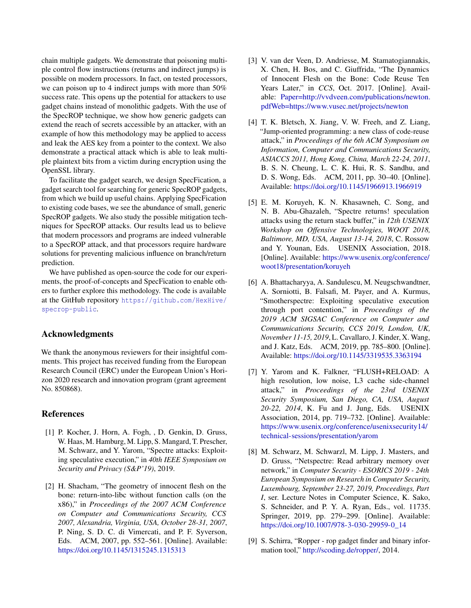chain multiple gadgets. We demonstrate that poisoning multiple control flow instructions (returns and indirect jumps) is possible on modern processors. In fact, on tested processors, we can poison up to 4 indirect jumps with more than 50% success rate. This opens up the potential for attackers to use gadget chains instead of monolithic gadgets. With the use of the SpecROP technique, we show how generic gadgets can extend the reach of secrets accessible by an attacker, with an example of how this methodology may be applied to access and leak the AES key from a pointer to the context. We also demonstrate a practical attack which is able to leak multiple plaintext bits from a victim during encryption using the OpenSSL library.

To facilitate the gadget search, we design SpecFication, a gadget search tool for searching for generic SpecROP gadgets, from which we build up useful chains. Applying SpecFication to existing code bases, we see the abundance of small, generic SpecROP gadgets. We also study the possible mitigation techniques for SpecROP attacks. Our results lead us to believe that modern processors and programs are indeed vulnerable to a SpecROP attack, and that processors require hardware solutions for preventing malicious influence on branch/return prediction.

We have published as open-source the code for our experiments, the proof-of-concepts and SpecFication to enable others to further explore this methodology. The code is available at the GitHub repository [https://github.com/HexHive/](https://github.com/HexHive/specrop-public) [specrop-public](https://github.com/HexHive/specrop-public).

# Acknowledgments

We thank the anonymous reviewers for their insightful comments. This project has received funding from the European Research Council (ERC) under the European Union's Horizon 2020 research and innovation program (grant agreement No. 850868).

#### References

- <span id="page-12-0"></span>[1] P. Kocher, J. Horn, A. Fogh, , D. Genkin, D. Gruss, W. Haas, M. Hamburg, M. Lipp, S. Mangard, T. Prescher, M. Schwarz, and Y. Yarom, "Spectre attacks: Exploiting speculative execution," in *40th IEEE Symposium on Security and Privacy (S&P'19)*, 2019.
- <span id="page-12-1"></span>[2] H. Shacham, "The geometry of innocent flesh on the bone: return-into-libc without function calls (on the x86)," in *Proceedings of the 2007 ACM Conference on Computer and Communications Security, CCS 2007, Alexandria, Virginia, USA, October 28-31, 2007*, P. Ning, S. D. C. di Vimercati, and P. F. Syverson, Eds. ACM, 2007, pp. 552–561. [Online]. Available: <https://doi.org/10.1145/1315245.1315313>
- <span id="page-12-2"></span>[3] V. van der Veen, D. Andriesse, M. Stamatogiannakis, X. Chen, H. Bos, and C. Giuffrida, "The Dynamics of Innocent Flesh on the Bone: Code Reuse Ten Years Later," in *CCS*, Oct. 2017. [Online]. Available: [Paper=http://vvdveen.com/publications/newton.](Paper=http://vvdveen.com/publications/newton.pdf Web=https://www.vusec.net/projects/newton) [pdfWeb=https://www.vusec.net/projects/newton](Paper=http://vvdveen.com/publications/newton.pdf Web=https://www.vusec.net/projects/newton)
- <span id="page-12-3"></span>[4] T. K. Bletsch, X. Jiang, V. W. Freeh, and Z. Liang, "Jump-oriented programming: a new class of code-reuse attack," in *Proceedings of the 6th ACM Symposium on Information, Computer and Communications Security, ASIACCS 2011, Hong Kong, China, March 22-24, 2011*, B. S. N. Cheung, L. C. K. Hui, R. S. Sandhu, and D. S. Wong, Eds. ACM, 2011, pp. 30–40. [Online]. Available: <https://doi.org/10.1145/1966913.1966919>
- <span id="page-12-4"></span>[5] E. M. Koruyeh, K. N. Khasawneh, C. Song, and N. B. Abu-Ghazaleh, "Spectre returns! speculation attacks using the return stack buffer," in *12th USENIX Workshop on Offensive Technologies, WOOT 2018, Baltimore, MD, USA, August 13-14, 2018*, C. Rossow and Y. Younan, Eds. USENIX Association, 2018. [Online]. Available: [https://www.usenix.org/conference/](https://www.usenix.org/conference/woot18/presentation/koruyeh) [woot18/presentation/koruyeh](https://www.usenix.org/conference/woot18/presentation/koruyeh)
- <span id="page-12-5"></span>[6] A. Bhattacharyya, A. Sandulescu, M. Neugschwandtner, A. Sorniotti, B. Falsafi, M. Payer, and A. Kurmus, "Smotherspectre: Exploiting speculative execution through port contention," in *Proceedings of the 2019 ACM SIGSAC Conference on Computer and Communications Security, CCS 2019, London, UK, November 11-15, 2019*, L. Cavallaro, J. Kinder, X. Wang, and J. Katz, Eds. ACM, 2019, pp. 785–800. [Online]. Available: <https://doi.org/10.1145/3319535.3363194>
- <span id="page-12-6"></span>[7] Y. Yarom and K. Falkner, "FLUSH+RELOAD: A high resolution, low noise, L3 cache side-channel attack," in *Proceedings of the 23rd USENIX Security Symposium, San Diego, CA, USA, August 20-22, 2014*, K. Fu and J. Jung, Eds. USENIX Association, 2014, pp. 719–732. [Online]. Available: [https://www.usenix.org/conference/usenixsecurity14/](https://www.usenix.org/conference/usenixsecurity14/technical-sessions/presentation/yarom) [technical-sessions/presentation/yarom](https://www.usenix.org/conference/usenixsecurity14/technical-sessions/presentation/yarom)
- <span id="page-12-7"></span>[8] M. Schwarz, M. Schwarzl, M. Lipp, J. Masters, and D. Gruss, "Netspectre: Read arbitrary memory over network," in *Computer Security - ESORICS 2019 - 24th European Symposium on Research in Computer Security, Luxembourg, September 23-27, 2019, Proceedings, Part I*, ser. Lecture Notes in Computer Science, K. Sako, S. Schneider, and P. Y. A. Ryan, Eds., vol. 11735. Springer, 2019, pp. 279–299. [Online]. Available: [https://doi.org/10.1007/978-3-030-29959-0\\_14](https://doi.org/10.1007/978-3-030-29959-0_14)
- <span id="page-12-8"></span>[9] S. Schirra, "Ropper - rop gadget finder and binary information tool," [http://scoding.de/ropper/,](http://scoding.de/ropper/) 2014.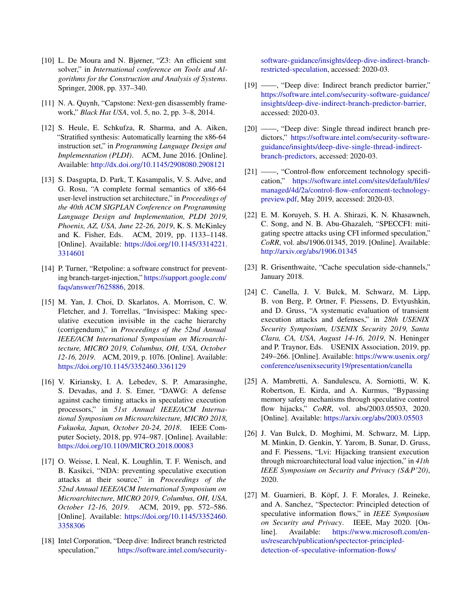- <span id="page-13-0"></span>[10] L. De Moura and N. Bjørner, "Z3: An efficient smt solver," in *International conference on Tools and Algorithms for the Construction and Analysis of Systems*. Springer, 2008, pp. 337–340.
- <span id="page-13-1"></span>[11] N. A. Quynh, "Capstone: Next-gen disassembly framework," *Black Hat USA*, vol. 5, no. 2, pp. 3–8, 2014.
- <span id="page-13-2"></span>[12] S. Heule, E. Schkufza, R. Sharma, and A. Aiken, "Stratified synthesis: Automatically learning the x86-64 instruction set," in *Programming Language Design and Implementation (PLDI)*. ACM, June 2016. [Online]. Available: <http://dx.doi.org/10.1145/2908080.2908121>
- <span id="page-13-3"></span>[13] S. Dasgupta, D. Park, T. Kasampalis, V. S. Adve, and G. Rosu, "A complete formal semantics of x86-64 user-level instruction set architecture," in *Proceedings of the 40th ACM SIGPLAN Conference on Programming Language Design and Implementation, PLDI 2019, Phoenix, AZ, USA, June 22-26, 2019*, K. S. McKinley and K. Fisher, Eds. ACM, 2019, pp. 1133–1148. [Online]. Available: [https://doi.org/10.1145/3314221.](https://doi.org/10.1145/3314221.3314601) [3314601](https://doi.org/10.1145/3314221.3314601)
- <span id="page-13-4"></span>[14] P. Turner, "Retpoline: a software construct for preventing branch-target-injection," [https://support.google.com/](https://support.google.com/faqs/answer/7625886) [faqs/answer/7625886,](https://support.google.com/faqs/answer/7625886) 2018.
- <span id="page-13-5"></span>[15] M. Yan, J. Choi, D. Skarlatos, A. Morrison, C. W. Fletcher, and J. Torrellas, "Invisispec: Making speculative execution invisible in the cache hierarchy (corrigendum)," in *Proceedings of the 52nd Annual IEEE/ACM International Symposium on Microarchitecture, MICRO 2019, Columbus, OH, USA, October 12-16, 2019*. ACM, 2019, p. 1076. [Online]. Available: <https://doi.org/10.1145/3352460.3361129>
- <span id="page-13-6"></span>[16] V. Kiriansky, I. A. Lebedev, S. P. Amarasinghe, S. Devadas, and J. S. Emer, "DAWG: A defense against cache timing attacks in speculative execution processors," in *51st Annual IEEE/ACM International Symposium on Microarchitecture, MICRO 2018, Fukuoka, Japan, October 20-24, 2018*. IEEE Computer Society, 2018, pp. 974–987. [Online]. Available: <https://doi.org/10.1109/MICRO.2018.00083>
- <span id="page-13-7"></span>[17] O. Weisse, I. Neal, K. Loughlin, T. F. Wenisch, and B. Kasikci, "NDA: preventing speculative execution attacks at their source," in *Proceedings of the 52nd Annual IEEE/ACM International Symposium on Microarchitecture, MICRO 2019, Columbus, OH, USA, October 12-16, 2019*. ACM, 2019, pp. 572–586. [Online]. Available: [https://doi.org/10.1145/3352460.](https://doi.org/10.1145/3352460.3358306) [3358306](https://doi.org/10.1145/3352460.3358306)
- <span id="page-13-8"></span>[18] Intel Corporation, "Deep dive: Indirect branch restricted speculation," [https://software.intel.com/security-](https://software.intel.com/security-software-guidance/insights/deep-dive-indirect-branch-restricted-speculation)

[software-guidance/insights/deep-dive-indirect-branch](https://software.intel.com/security-software-guidance/insights/deep-dive-indirect-branch-restricted-speculation)[restricted-speculation,](https://software.intel.com/security-software-guidance/insights/deep-dive-indirect-branch-restricted-speculation) accessed: 2020-03.

- [19] ——, "Deep dive: Indirect branch predictor barrier," [https://software.intel.com/security-software-guidance/](https://software.intel.com/security-software-guidance/insights/deep-dive-indirect-branch-predictor-barrier) [insights/deep-dive-indirect-branch-predictor-barrier,](https://software.intel.com/security-software-guidance/insights/deep-dive-indirect-branch-predictor-barrier) accessed: 2020-03.
- <span id="page-13-9"></span>[20] ——, "Deep dive: Single thread indirect branch predictors," [https://software.intel.com/security-software](https://software.intel.com/security-software-guidance/insights/deep-dive-single-thread-indirect-branch-predictors)[guidance/insights/deep-dive-single-thread-indirect](https://software.intel.com/security-software-guidance/insights/deep-dive-single-thread-indirect-branch-predictors)[branch-predictors,](https://software.intel.com/security-software-guidance/insights/deep-dive-single-thread-indirect-branch-predictors) accessed: 2020-03.
- <span id="page-13-10"></span>[21] ——, "Control-flow enforcement technology specification," [https://software.intel.com/sites/default/files/](https://software.intel.com/sites/default/files/managed/4d/2a/control-flow-enforcement-technology-preview.pdf) [managed/4d/2a/control-flow-enforcement-technology](https://software.intel.com/sites/default/files/managed/4d/2a/control-flow-enforcement-technology-preview.pdf)[preview.pdf,](https://software.intel.com/sites/default/files/managed/4d/2a/control-flow-enforcement-technology-preview.pdf) May 2019, accessed: 2020-03.
- <span id="page-13-11"></span>[22] E. M. Koruyeh, S. H. A. Shirazi, K. N. Khasawneh, C. Song, and N. B. Abu-Ghazaleh, "SPECCFI: mitigating spectre attacks using CFI informed speculation," *CoRR*, vol. abs/1906.01345, 2019. [Online]. Available: <http://arxiv.org/abs/1906.01345>
- <span id="page-13-12"></span>[23] R. Grisenthwaite, "Cache speculation side-channels," January 2018.
- <span id="page-13-13"></span>[24] C. Canella, J. V. Bulck, M. Schwarz, M. Lipp, B. von Berg, P. Ortner, F. Piessens, D. Evtyushkin, and D. Gruss, "A systematic evaluation of transient execution attacks and defenses," in *28th USENIX Security Symposium, USENIX Security 2019, Santa Clara, CA, USA, August 14-16, 2019*, N. Heninger and P. Traynor, Eds. USENIX Association, 2019, pp. 249–266. [Online]. Available: [https://www.usenix.org/](https://www.usenix.org/conference/usenixsecurity19/presentation/canella) [conference/usenixsecurity19/presentation/canella](https://www.usenix.org/conference/usenixsecurity19/presentation/canella)
- <span id="page-13-14"></span>[25] A. Mambretti, A. Sandulescu, A. Sorniotti, W. K. Robertson, E. Kirda, and A. Kurmus, "Bypassing memory safety mechanisms through speculative control flow hijacks," *CoRR*, vol. abs/2003.05503, 2020. [Online]. Available: <https://arxiv.org/abs/2003.05503>
- <span id="page-13-15"></span>[26] J. Van Bulck, D. Moghimi, M. Schwarz, M. Lipp, M. Minkin, D. Genkin, Y. Yarom, B. Sunar, D. Gruss, and F. Piessens, "Lvi: Hijacking transient execution through microarchitectural load value injection," in *41th IEEE Symposium on Security and Privacy (S&P'20)*, 2020.
- <span id="page-13-16"></span>[27] M. Guarnieri, B. Köpf, J. F. Morales, J. Reineke, and A. Sanchez, "Spectector: Principled detection of speculative information flows," in *IEEE Symposium on Security and Privacy*. IEEE, May 2020. [Online]. Available: [https://www.microsoft.com/en](https://www.microsoft.com/en-us/research/publication/spectector-principled-detection-of-speculative-information-flows/)[us/research/publication/spectector-principled](https://www.microsoft.com/en-us/research/publication/spectector-principled-detection-of-speculative-information-flows/)[detection-of-speculative-information-flows/](https://www.microsoft.com/en-us/research/publication/spectector-principled-detection-of-speculative-information-flows/)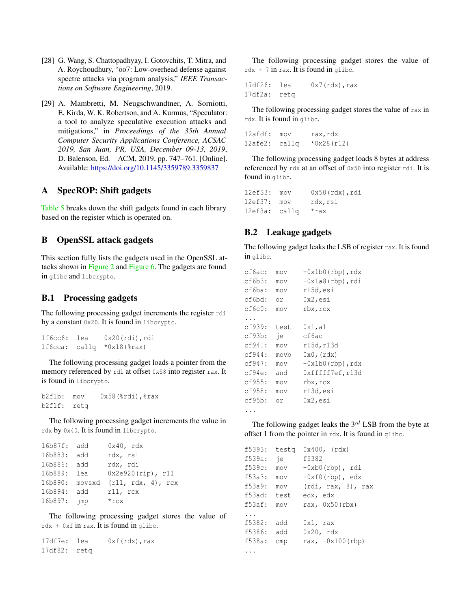- <span id="page-14-2"></span>[28] G. Wang, S. Chattopadhyay, I. Gotovchits, T. Mitra, and A. Roychoudhury, "oo7: Low-overhead defense against spectre attacks via program analysis," *IEEE Transactions on Software Engineering*, 2019.
- <span id="page-14-3"></span>[29] A. Mambretti, M. Neugschwandtner, A. Sorniotti, E. Kirda, W. K. Robertson, and A. Kurmus, "Speculator: a tool to analyze speculative execution attacks and mitigations," in *Proceedings of the 35th Annual Computer Security Applications Conference, ACSAC 2019, San Juan, PR, USA, December 09-13, 2019*, D. Balenson, Ed. ACM, 2019, pp. 747–761. [Online]. Available: <https://doi.org/10.1145/3359789.3359837>

#### <span id="page-14-1"></span>A SpecROP: Shift gadgets

[Table 5](#page-15-0) breaks down the shift gadgets found in each library based on the register which is operated on.

# <span id="page-14-0"></span>B OpenSSL attack gadgets

This section fully lists the gadgets used in the OpenSSL attacks shown in [Figure 2](#page-3-0) and [Figure 6.](#page-8-1) The gadgets are found in glibc and libcrypto.

## B.1 Processing gadgets

The following processing gadget increments the register rdi by a constant 0x20. It is found in libcrypto.

```
1f6cc6: lea 0x20(rdi),rdi
1f6cca: callq *0x18(%rax)
```
The following processing gadget loads a pointer from the memory referenced by rdi at offset 0x58 into register rax. It is found in libcrypto.

```
b2f1b: mov 0x58(%rdi),%rax
b2f1f: retq
```
The following processing gadget increments the value in rdx by 0x40. It is found in libcrypto.

| 16b87f: add |                    | $0x40$ , rdx                      |
|-------------|--------------------|-----------------------------------|
| 16b883: add |                    | rdx, rsi                          |
| 16b886: add |                    | rdx, rdi                          |
| 16b889: lea |                    | $0x2e920(rip)$ , r11              |
|             |                    | 16b890: movsxd (r11, rdx, 4), rcx |
| 16b894:     |                    | add r11, rcx                      |
|             | $16b897:$ jmp *rcx |                                   |

The following processing gadget stores the value of rdx + 0xf in rax. It is found in glibc.

```
17df7e: lea 0xf(rdx),rax
17df82: retq
```
The following processing gadget stores the value of  $rdx + 7$  in rax. It is found in glibc.

17df26: lea 0x7(rdx),rax 17df2a: retq

The following processing gadget stores the value of rax in rdx. It is found in glibc.

| 12afdf: | <b>MOV</b> | rax, rdx     |
|---------|------------|--------------|
| l2afe2: | callq      | $*0x28(r12)$ |

The following processing gadget loads 8 bytes at address referenced by rdx at an offset of 0x50 into register rdi. It is found in glibc.

| $12ef33:$ mov | $0x50(rdx)$ , rdi |
|---------------|-------------------|
| 12ef37: mov   | rdx, rsi          |
| 12ef3a: callq | *rax              |

# B.2 Leakage gadgets

The following gadget leaks the LSB of register rax. It is found in glibc.

| cf6ac:    | mov  | $-0x1b0(rbp)$ , rdx |
|-----------|------|---------------------|
| $cf6b3$ : | mov  | $-0x1a8(rbp)$ , rdi |
| $cf6ba$ : | mov  | r15d,esi            |
| cf6bd:    | or   | 0x2,esi             |
| cf6c0:    | mov  | rbx, rcx            |
| .         |      |                     |
| cf939:    | test | 0x1,al              |
| cf93b:    | jе   | cf6ac               |
| cf941:    | mov  | r15d,r13d           |
| cf944:    | movb | $0x0$ , (rdx)       |
| cf947:    | mov  | $-0x1b0(rbp)$ , rdx |
| cf94e:    | and  | 0xfffff7ef,r13d     |
| cf955:    | mov  | rbx, rcx            |
| cf958:    | mov  | r13d, esi           |
| cf95b:    | or   | 0x2,esi             |
|           |      |                     |

The following gadget leaks the 3 *rd* LSB from the byte at offset 1 from the pointer in rdx. It is found in glibc.

| f5393: | testq      | $0x400$ , $(rdx)$      |
|--------|------------|------------------------|
| f539a: | je         | f5382                  |
| f539c: | mov        | $-0$ xb $0$ (rbp), rdi |
| f53a3: | mov        | $-0xf0(rbp)$ , edx     |
| f53a9: | MOV        | (rdi, rax, 8), rax     |
| f53ad: | t.est.     | edx, edx               |
| f53af: | <b>MOV</b> | rax, $0x50$ (rbx)      |
|        |            |                        |
| f5382: | add        | 0x1, rax               |
| f5386: | add        | $0x20$ , rdx           |
| f538a: | cmp        | rax, $-0x100(rbp)$     |
|        |            |                        |